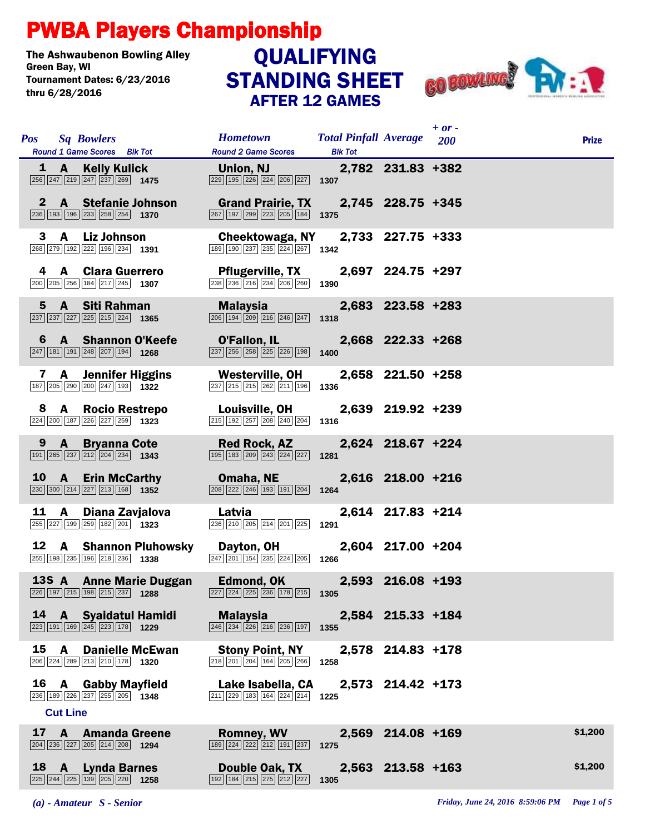## PWBA Players Championship

The Ashwaubenon Bowling Alley<br>Green Bav. WI Tournament Dates: 6/23/2016 thru 6/28/2016

## STANDING SHEET AFTER 12 GAMES **QUALIFYING**



|    | <b>Pos</b> Sq Bowlers<br>Round 1 Game Scores Blk Tot                                                                   | <b>Hometown</b><br><b>Round 2 Game Scores</b>                                                                                   | <b>Total Pinfall Average</b> 200<br><b>Blk Tot</b> |                   | $+ or -$ | <b>Prize</b> |
|----|------------------------------------------------------------------------------------------------------------------------|---------------------------------------------------------------------------------------------------------------------------------|----------------------------------------------------|-------------------|----------|--------------|
|    | 1 A Kelly Kulick<br>$\boxed{256}$ $\boxed{247}$ $\boxed{219}$ $\boxed{247}$ $\boxed{237}$ $\boxed{269}$ <b>1475</b>    | Union, NJ<br>$\boxed{229}$ $\boxed{195}$ $\boxed{226}$ $\boxed{224}$ $\boxed{206}$ $\boxed{227}$                                | 1307                                               | 2,782 231.83 +382 |          |              |
|    | 2 A Stefanie Johnson<br>$\boxed{236}$ 193 196 233 258 254 1370                                                         | Grand Prairie, TX 2,745 228.75 +345<br>$\boxed{267}$ $\boxed{197}$ $\boxed{299}$ $\boxed{223}$ $\boxed{205}$ $\boxed{184}$      | 1375                                               |                   |          |              |
|    | A Liz Johnson<br>3<br>268 279 192 222 196 234 1391                                                                     | Cheektowaga, NY<br>189 190 237 235 224 267 1342                                                                                 |                                                    | 2,733 227.75 +333 |          |              |
|    | 4 A Clara Guerrero<br>200 205 256 184 217 245 1307                                                                     | <b>Pflugerville, TX</b><br>238 236 216 234 206 260                                                                              | 1390                                               | 2,697 224.75 +297 |          |              |
|    | 5 A Siti Rahman<br>$\boxed{237}\boxed{237}\boxed{227}\boxed{225}\boxed{215}\boxed{224}$ 1365                           | <b>Malaysia</b><br>206 194 209 216 246 247                                                                                      | 1318                                               | 2,683 223.58 +283 |          |              |
| 6  | <b>A</b> Shannon O'Keefe<br>$\boxed{247}$ 181 191 248 207 194 1268                                                     | O'Fallon, IL<br>$\overline{237}$ $\overline{256}$ $\overline{258}$ $\overline{225}$ $\overline{226}$ $\overline{198}$           | 1400                                               | 2,668 222.33 +268 |          |              |
|    | <b>A</b> Jennifer Higgins<br>7<br>187 205 290 200 247 193 1322                                                         | Westerville, OH<br>$\boxed{237}$ $\boxed{215}$ $\boxed{215}$ $\boxed{262}$ $\boxed{211}$ $\boxed{196}$                          | 1336                                               | 2,658 221.50 +258 |          |              |
| 8. | A Rocio Restrepo<br>$\boxed{224}\boxed{200}\boxed{187}\boxed{226}\boxed{227}\boxed{259}$ 1323                          | Louisville, OH<br>215 192 257 208 240 204                                                                                       | 1316                                               | 2,639 219.92 +239 |          |              |
|    | 9<br>A Bryanna Cote<br>$\boxed{191}$ $\boxed{265}$ $\boxed{237}$ $\boxed{212}$ $\boxed{204}$ $\boxed{234}$ <b>1343</b> | <b>Red Rock, AZ</b><br>$\boxed{195}$ $\boxed{183}$ $\boxed{209}$ $\boxed{243}$ $\boxed{224}$ $\boxed{227}$                      | 1281                                               | 2,624 218.67 +224 |          |              |
|    | 10 A Erin McCarthy<br>230 300 214 227 213 168 1352                                                                     | Omaha, NE<br>208 222 246 193 191 204                                                                                            | 1264                                               | 2,616 218.00 +216 |          |              |
| 11 | A<br>Diana Zavjalova<br>255 227 199 259 182 201 1323                                                                   | Latvia<br>236 210 205 214 201 225                                                                                               | 1291                                               | 2,614 217.83 +214 |          |              |
|    | 12 A Shannon Pluhowsky<br>255 198 235 196 218 236 1338                                                                 | Dayton, OH<br>$\boxed{247}\boxed{201}\boxed{154}\boxed{235}\boxed{224}\boxed{205}$                                              | 1266                                               | 2,604 217.00 +204 |          |              |
|    | 13S A Anne Marie Duggan<br>$\overline{226}\overline{197}\overline{215}\overline{198}\overline{215}\overline{237}$ 1288 | Edmond, OK 2,593 216.08 +193<br>$\boxed{227}$ $\boxed{224}$ $\boxed{225}$ $\boxed{236}$ $\boxed{178}$ $\boxed{215}$ <b>1305</b> |                                                    |                   |          |              |
| 14 | <b>A</b> Syaidatul Hamidi<br>$\overline{ 223   191   169   245   223   178 }$ 1229                                     | <b>Malaysia</b><br>246 234 226 216 236 197                                                                                      | 1355                                               | 2,584 215.33 +184 |          |              |
| 15 | <b>Danielle McEwan</b><br>A<br>206 224 289 213 210 178 1320                                                            | <b>Stony Point, NY</b><br>218 201 204 164 205 266                                                                               | 1258                                               | 2,578 214.83 +178 |          |              |
| 16 | <b>Gabby Mayfield</b><br>A<br>236 189 226 237 255 205 1348<br><b>Cut Line</b>                                          | Lake Isabella, CA<br>$\boxed{211}$ $\boxed{229}$ $\boxed{183}$ $\boxed{164}$ $\boxed{224}$ $\boxed{214}$                        | 1225                                               | 2,573 214.42 +173 |          |              |
| 17 | <b>Amanda Greene</b><br>A<br>204 236 227 205 214 208 1294                                                              | <b>Romney, WV</b><br>189 224 222 212 191 237                                                                                    | 1275                                               | 2,569 214.08 +169 |          | \$1,200      |
|    | 18 A<br><b>Lynda Barnes</b><br>225 244 225 139 205 220 1258                                                            | Double Oak, TX<br>192 184 215 275 212 227                                                                                       | 1305                                               | 2,563 213.58 +163 |          | \$1,200      |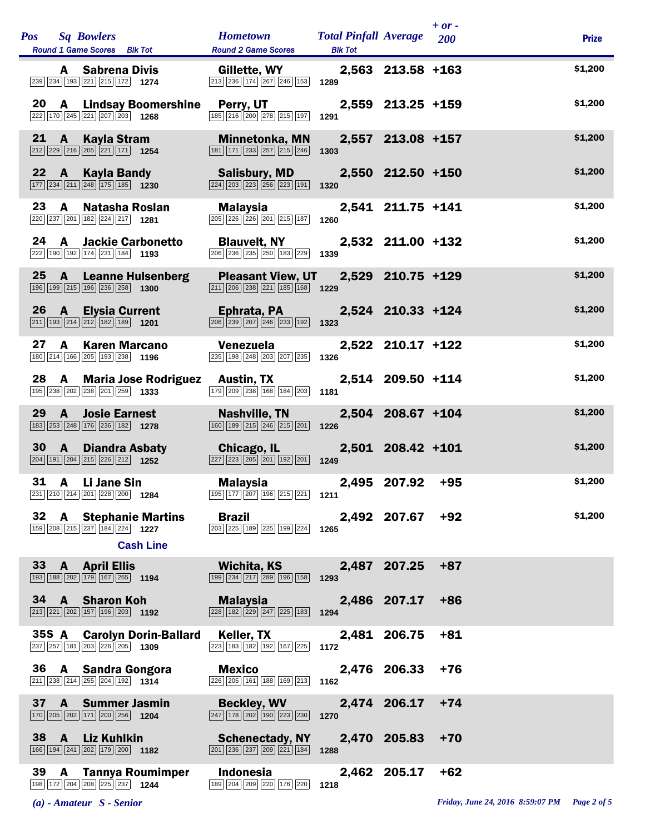| <b>Pos</b> |                | <b>Sq Bowlers</b><br>Round 1 Game Scores Blk Tot                                                                       | <b>Hometown</b><br><b>Round 2 Game Scores</b>                                                                   | <b>Total Pinfall Average</b><br><b>Blk Tot</b> |                   | $+ or -$<br>200 | <b>Prize</b> |
|------------|----------------|------------------------------------------------------------------------------------------------------------------------|-----------------------------------------------------------------------------------------------------------------|------------------------------------------------|-------------------|-----------------|--------------|
|            |                | <b>A</b> Sabrena Divis<br>239 234 193 221 215 172 1274                                                                 | Gillette, WY<br>213 236 174 267 246 153                                                                         | 1289                                           | 2,563 213.58 +163 |                 | \$1,200      |
| 20         |                | <b>A</b> Lindsay Boomershine<br>$\boxed{222}\boxed{170}\boxed{245}\boxed{221}\boxed{207}\boxed{203}$ 1268              | Perry, UT<br>185 216 200 278 215 197                                                                            | 1291                                           | 2,559 213.25 +159 |                 | \$1,200      |
| 21         | $\mathbf{A}$   | <b>Kayla Stram</b><br>$\boxed{212}\boxed{229}\boxed{216}\boxed{205}\boxed{221}\boxed{171}$ 1254                        | Minnetonka, MN<br>181 171 233 257 215 246                                                                       | 1303                                           | 2,557 213.08 +157 |                 | \$1,200      |
| 22         | $\mathbf{A}$   | Kayla Bandy<br>$\boxed{177}$ $\boxed{234}$ $\boxed{211}$ $\boxed{248}$ $\boxed{175}$ $\boxed{185}$ <b>1230</b>         | <b>Salisbury, MD</b><br>$\boxed{224}\boxed{203}\boxed{223}\boxed{256}\boxed{223}\boxed{191}$                    | 1320                                           | 2,550 212.50 +150 |                 | \$1,200      |
| 23         | A              | Natasha Roslan<br>220 237 201 182 224 217 1281                                                                         | Malaysia<br>$\boxed{205}$ $\boxed{226}$ $\boxed{226}$ $\boxed{201}$ $\boxed{215}$ $\boxed{187}$                 | 1260                                           | 2,541 211.75 +141 |                 | \$1,200      |
| 24         | A              | <b>Jackie Carbonetto</b><br>222 190 192 174 231 184 193                                                                | <b>Blauvelt, NY</b><br>206 236 235 250 183 229                                                                  | 1339                                           | 2,532 211.00 +132 |                 | \$1,200      |
| 25         | $\mathbf{A}$   | <b>Leanne Hulsenberg</b><br>196 199 215 196 236 258 1300                                                               | <b>Pleasant View, UT</b><br>$\boxed{211}$ $\boxed{206}$ $\boxed{238}$ $\boxed{221}$ $\boxed{185}$ $\boxed{168}$ | 1229                                           | 2,529 210.75 +129 |                 | \$1,200      |
| 26         | <b>A</b>       | <b>Elysia Current</b><br>$\boxed{211}$ 193 $\boxed{214}$ $\boxed{212}$ 182 189 1201                                    | Ephrata, PA<br>$\boxed{206}$ $\boxed{239}$ $\boxed{207}$ $\boxed{246}$ $\boxed{233}$ $\boxed{192}$              | 1323                                           | 2,524 210.33 +124 |                 | \$1,200      |
| 27         | A              | <b>Karen Marcano</b><br>180 214 166 205 193 238 1196                                                                   | Venezuela<br>235 198 248 203 207 235                                                                            | 1326                                           | 2,522 210.17 +122 |                 | \$1,200      |
| 28         |                | A Maria Jose Rodriguez<br>195 238 202 238 201 259 1333                                                                 | <b>Austin, TX</b><br>179 209 238 168 184 203                                                                    | 1181                                           | 2,514 209.50 +114 |                 | \$1,200      |
| 29         | $\mathbf{A}$   | <b>Josie Earnest</b><br>183 253 248 176 236 182 1278                                                                   | <b>Nashville, TN</b><br>$\boxed{160}$ $\boxed{189}$ $\boxed{215}$ $\boxed{246}$ $\boxed{215}$ $\boxed{201}$     | 1226                                           | 2,504 208.67 +104 |                 | \$1,200      |
| 30         | A              | <b>Diandra Asbaty</b><br>$\boxed{204}$ 191 204 215 226 212 1252                                                        | Chicago, IL<br>$\boxed{227}$ $\boxed{223}$ $\boxed{205}$ $\boxed{201}$ $\boxed{192}$ $\boxed{201}$              | 1249                                           | 2,501 208.42 +101 |                 | \$1,200      |
| 31         |                | A Li Jane Sin<br>231 210 214 201 228 200 1284                                                                          | Malaysia<br>$\boxed{195}$ $\boxed{177}$ $\boxed{207}$ $\boxed{196}$ $\boxed{215}$ $\boxed{221}$ <b>1211</b>     |                                                | 2,495 207.92      | $+95$           | \$1,200      |
| 32         |                | <b>A</b> Stephanie Martins<br>159 208 215 237 184 224 1227                                                             | <b>Brazil</b><br>203 225 189 225 199 224                                                                        | 1265                                           | 2,492 207.67      | $+92$           | \$1,200      |
|            |                | <b>Cash Line</b><br>33 A April Ellis                                                                                   | Wichita, KS                                                                                                     |                                                | 2,487 207.25      | $+87$           |              |
|            |                | $\boxed{193}$ $\boxed{188}$ $\boxed{202}$ $\boxed{179}$ $\boxed{167}$ $\boxed{265}$ <b>1194</b>                        | 199 234 217 289 196 158                                                                                         | 1293                                           |                   |                 |              |
|            |                | 34 A Sharon Koh<br>$\boxed{213}\boxed{221}\boxed{202}\boxed{157}\boxed{196}\boxed{203}$ 1192                           | Malaysia<br>$\boxed{228}$ $\boxed{182}$ $\boxed{229}$ $\boxed{247}$ $\boxed{225}$ $\boxed{183}$                 | 1294                                           | 2,486 207.17      | $+86$           |              |
|            |                | 35S A Carolyn Dorin-Ballard<br>237 257 181 203 226 205 1309                                                            | Keller, TX<br>223 183 182 192 167 225                                                                           | 1172                                           | 2,481 206.75      | $+81$           |              |
|            |                | 36 A Sandra Gongora<br>$\boxed{211}$ $\boxed{238}$ $\boxed{214}$ $\boxed{255}$ $\boxed{204}$ $\boxed{192}$ <b>1314</b> | <b>Mexico</b><br>226 205 161 188 169 213                                                                        | 1162                                           | 2,476 206.33      | $+76$           |              |
| 37         | A              | <b>Summer Jasmin</b><br>170 205 202 171 200 256 1204                                                                   | <b>Beckley, WV</b><br>$\boxed{247}$ $\boxed{178}$ $\boxed{202}$ $\boxed{190}$ $\boxed{223}$ $\boxed{230}$       | 1270                                           | 2,474 206.17      | $+74$           |              |
| 38         | $\overline{A}$ | Liz Kuhlkin<br>166 194 241 202 179 200 1182                                                                            | <b>Schenectady, NY</b><br>$\boxed{201}\ \boxed{236}\ \boxed{237}\ \boxed{209}\ \boxed{221}\ \boxed{184}$        | 1288                                           | 2,470 205.83      | $+70$           |              |
| 39         |                | <b>A</b> Tannya Roumimper<br>198 172 204 208 225 237 1244                                                              | Indonesia<br>189 204 209 220 176 220                                                                            | 1218                                           | 2,462 205.17      | $+62$           |              |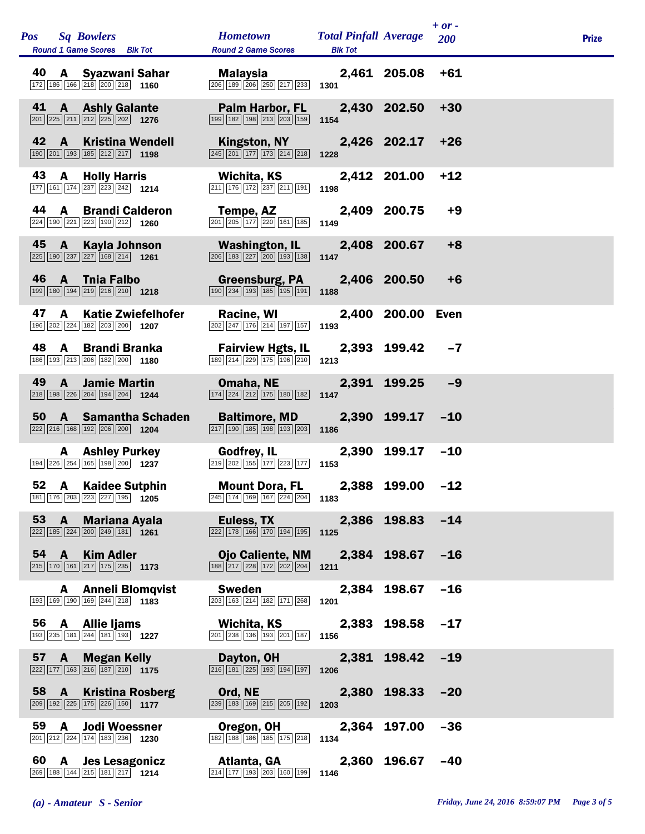|    | Pos Sq Bowlers<br>Round 1 Game Scores Blk Tot                                                                                   | <b>Hometown</b><br><b>Round 2 Game Scores</b>                                                                                        | <b>Total Pinfall Average</b><br><b>Blk Tot</b> |                  | $+ or -$<br>200 | <b>Prize</b> |
|----|---------------------------------------------------------------------------------------------------------------------------------|--------------------------------------------------------------------------------------------------------------------------------------|------------------------------------------------|------------------|-----------------|--------------|
| 40 | A Syazwani Sahar<br>172 186 166 218 200 218 1160                                                                                | Malaysia<br>206 189 206 250 217 233                                                                                                  | 1301                                           | 2,461 205.08     | $+61$           |              |
| 41 | <b>A</b> Ashly Galante<br>201 225 211 212 225 202 1276                                                                          | Palm Harbor, FL<br>199 182 198 213 203 159                                                                                           | 1154                                           | 2,430 202.50     | $+30$           |              |
| 42 | <b>Kristina Wendell</b><br>A<br>$\boxed{190}$ $\boxed{201}$ $\boxed{193}$ $\boxed{185}$ $\boxed{212}$ $\boxed{217}$ <b>1198</b> | Kingston, NY<br>$\boxed{245}$ $\boxed{201}$ $\boxed{177}$ $\boxed{173}$ $\boxed{214}$ $\boxed{218}$                                  | 1228                                           | 2,426 202.17     | $+26$           |              |
| 43 | <b>A</b> Holly Harris<br>177 161 174 237 223 242 1214                                                                           | Wichita, KS<br>211 176 172 237 211 191                                                                                               | 1198                                           | 2,412 201.00     | $+12$           |              |
| 44 | <b>Brandi Calderon</b><br>$\mathbf{A}$<br>224 190 221 223 190 212 1260                                                          | Tempe, AZ<br>$\boxed{201}$ $\boxed{205}$ $\boxed{177}$ $\boxed{220}$ $\boxed{161}$ $\boxed{185}$                                     | 1149                                           | 2,409 200.75     | $+9$            |              |
| 45 | Kayla Johnson<br>A<br>$\boxed{225}$ 190 $\boxed{237}$ $\boxed{227}$ 168 $\boxed{214}$ 1261                                      | Washington, IL<br>$\boxed{206}$ $\boxed{183}$ $\boxed{227}$ $\boxed{200}$ $\boxed{193}$ $\boxed{138}$                                | 1147                                           | 2,408 200.67     | $+8$            |              |
| 46 | $\mathsf{A}$<br><b>Thia Falbo</b><br>199 180 194 219 216 210 1218                                                               | Greensburg, PA<br>$\boxed{190}$ $\boxed{234}$ $\boxed{193}$ $\boxed{185}$ $\boxed{195}$ $\boxed{191}$                                | 1188                                           | 2,406 200.50     | $+6$            |              |
| 47 | <b>Katie Zwiefelhofer</b><br>A<br>196 202 224 182 203 200 1207                                                                  | Racine, WI<br>$\boxed{202}$ $\boxed{247}$ $\boxed{176}$ $\boxed{214}$ $\boxed{197}$ $\boxed{157}$                                    | 1193                                           | 2,400 200.00     | Even            |              |
| 48 | <b>Brandi Branka</b><br>A<br>186 193 213 206 182 200 1180                                                                       | <b>Fairview Hgts, IL</b><br>$\boxed{189}$ $\boxed{214}$ $\boxed{229}$ $\boxed{175}$ $\boxed{196}$ $\boxed{210}$                      | 1213                                           | 2,393 199.42     | $-7$            |              |
| 49 | <b>Jamie Martin</b><br>A<br>218 198 226 204 194 204 1244                                                                        | Omaha, NE<br>$\boxed{174}$ $\boxed{224}$ $\boxed{212}$ $\boxed{175}$ $\boxed{180}$ $\boxed{182}$                                     | 1147                                           | 2,391 199.25     | $-9$            |              |
| 50 | A Samantha Schaden<br>222 216 168 192 206 200 1204                                                                              | <b>Baltimore, MD</b><br>$\boxed{217}$ 190 185 198 193 203                                                                            | 1186                                           | 2,390 199.17     | $-10$           |              |
|    | <b>A</b> Ashley Purkey<br>194 226 254 165 198 200 1237                                                                          | <b>Godfrey, IL</b><br>$\boxed{219}$ $\boxed{202}$ $\boxed{155}$ $\boxed{177}$ $\boxed{223}$ $\boxed{177}$ <b>1153</b>                | 2,390                                          | 199.17           | $-10$           |              |
| 52 | A<br><b>Kaidee Sutphin</b><br>181 176 203 223 227 195 1205                                                                      | <b>Mount Dora, FL</b><br>$\overline{245}$ 174 169 167 224 204 1183                                                                   | 2,388                                          | 199.00           | $-12$           |              |
|    | <b>Mariana Ayala</b><br>53 A<br>$\boxed{222}\boxed{185}\boxed{224}\boxed{200}\boxed{249}\boxed{181}$ 1261                       | Euless, TX 2,386 198.83 -14<br>$\boxed{222}$ 178 166 170 194 195 1125                                                                |                                                |                  |                 |              |
|    | <b>Kim Adler</b><br>54 A<br>$\boxed{215}$ 170 161 217 175 235 1173                                                              | Ojo Caliente, NM 2,384 198.67 -16<br>$\boxed{188}$ $\boxed{217}$ $\boxed{228}$ $\boxed{172}$ $\boxed{202}$ $\boxed{204}$ <b>1211</b> |                                                |                  |                 |              |
|    | <b>Anneli Blomqvist</b><br>A<br>193 169 190 169 244 218 1183                                                                    | <b>Sweden</b><br>203 163 214 182 171 268 1201                                                                                        |                                                | 2,384 198.67 -16 |                 |              |
|    | 56 A Allie Ijams<br>193 235 181 244 181 193 1227                                                                                | Wichita, KS<br>201 238 136 193 201 187                                                                                               | 1156                                           | 2,383 198.58 -17 |                 |              |
|    | 57 A<br><b>Megan Kelly</b><br>$222$ 177 163 216 187 210 1175                                                                    | Dayton, OH<br>$\boxed{216}$ $\boxed{181}$ $\boxed{225}$ $\boxed{193}$ $\boxed{194}$ $\boxed{197}$                                    | 2,381 198.42<br>1206                           |                  | $-19$           |              |
|    | 58 A<br><b>Kristina Rosberg</b><br>209 192 225 175 226 150 1177                                                                 | Ord, NE <b>Security</b> Security<br>239 183 169 215 205 192                                                                          | 1203                                           | 2,380 198.33 -20 |                 |              |
|    | 59 A Jodi Woessner<br>201 212 224 174 183 236 1230                                                                              | Oregon, OH<br>182 188 186 185 175 218 1134                                                                                           |                                                | 2,364 197.00     | $-36$           |              |
|    | 60 A Jes Lesagonicz<br>$\overline{269}$ 188 144 215 181 217 1214                                                                | Atlanta, GA 2,360 196.67 -40<br>214 177 193 203 160 199                                                                              | 1146                                           |                  |                 |              |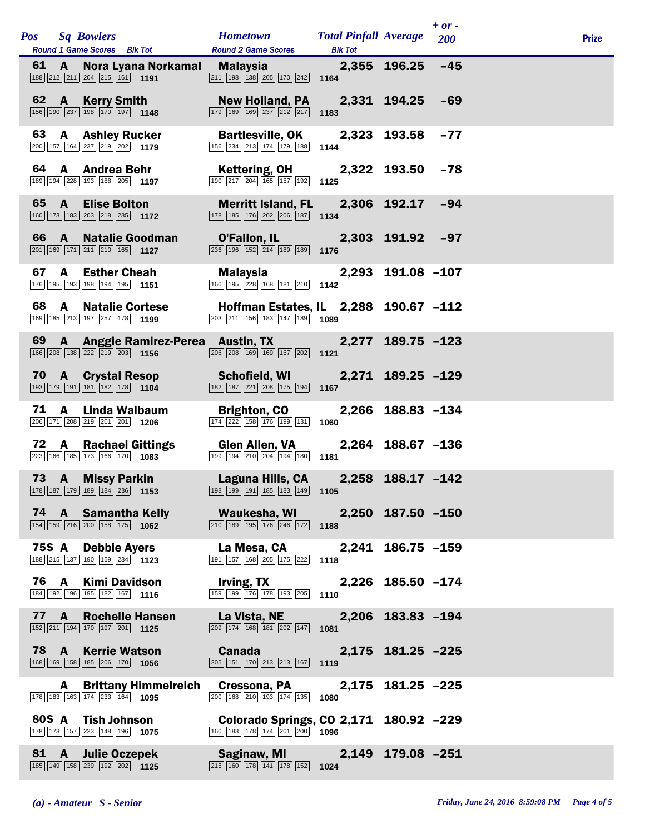|       |              | Pos Sq Bowlers<br>Round 1 Game Scores Blk Tot                                                                                                            | <b>Hometown Total Pinfall Average</b><br><b>Round 2 Game Scores</b>                                                                      |                   |                   | $+ or -$<br><b>200</b> | <b>Prize</b> |
|-------|--------------|----------------------------------------------------------------------------------------------------------------------------------------------------------|------------------------------------------------------------------------------------------------------------------------------------------|-------------------|-------------------|------------------------|--------------|
|       | 61 A         | Nora Lyana Norkamal Malaysia 2,355 196.25 -45<br>$\boxed{188}\boxed{212}\boxed{211}\boxed{204}\boxed{215}\boxed{161}$ 1191                               | $\boxed{211}$ $\boxed{198}$ $\boxed{138}$ $\boxed{205}$ $\boxed{170}$ $\boxed{242}$ <b>1164</b>                                          | <b>Blk Tot</b>    |                   |                        |              |
|       |              | 62 A Kerry Smith<br>$\boxed{156}$ $\boxed{190}$ $\boxed{237}$ $\boxed{198}$ $\boxed{170}$ $\boxed{197}$ <b>1148</b>                                      | New Holland, PA  2,331  194.25  -69<br>179 169 169 237 212 217                                                                           | 1183              |                   |                        |              |
| 63    |              | <b>A</b> Ashley Rucker<br>$\boxed{200}$ 157 164 237 219 202 1179                                                                                         | <b>Bartlesville, OK 2,323 193.58</b><br>156 234 213 174 179 188 1144                                                                     |                   |                   | $-77$                  |              |
|       |              | 64 A Andrea Behr<br>189 194 228 193 188 205 1197                                                                                                         | Kettering, OH<br>$\boxed{190}$ $\boxed{217}$ $\boxed{204}$ $\boxed{165}$ $\boxed{157}$ $\boxed{192}$ <b>1125</b>                         |                   | 2,322 193.50 -78  |                        |              |
|       | 65 A         | <b>Elise Bolton</b><br>160 173 183 203 218 235 1172                                                                                                      | Merritt Island, FL 2,306 192.17 -94<br>$\boxed{178}$ $\boxed{185}$ $\boxed{176}$ $\boxed{202}$ $\boxed{206}$ $\boxed{187}$ <b>1134</b>   |                   |                   |                        |              |
|       | 66 A         | <b>Natalie Goodman</b><br>201 169 171 211 210 165 1127                                                                                                   | O'Fallon, IL 2,303 191.92 -97<br>$\overline{236}$ 196 152 214 189 189 189 1176                                                           |                   |                   |                        |              |
| 67    | <b>A</b>     | <b>Esther Cheah</b><br>176 195 193 198 194 195 1151                                                                                                      | Malaysia<br>$\boxed{160}$ $\boxed{195}$ $\boxed{228}$ $\boxed{168}$ $\boxed{181}$ $\boxed{210}$ <b>1142</b>                              | 2,293 191.08 -107 |                   |                        |              |
| 68    | A            | <b>Natalie Cortese</b><br>169 185 213 197 257 178 1199                                                                                                   | Hoffman Estates, IL 2,288 190.67 -112<br>$\boxed{203}$ $\boxed{211}$ $\boxed{156}$ $\boxed{183}$ $\boxed{147}$ $\boxed{189}$ <b>1089</b> |                   |                   |                        |              |
|       |              | 69 A Anggie Ramirez-Perea Austin, TX 2,277 189.75 -123<br>166 208 138 222 219 203 1156                                                                   | $\boxed{206}$ $\boxed{208}$ 169 169 167 202 1121                                                                                         |                   |                   |                        |              |
|       |              | 70 A Crystal Resop Schofield, WI 2,271 189.25 -129<br>$\boxed{193}$ $\boxed{179}$ $\boxed{191}$ $\boxed{181}$ $\boxed{182}$ $\boxed{178}$ $\boxed{1104}$ | $\boxed{182}$ $\boxed{187}$ $\boxed{221}$ $\boxed{208}$ $\boxed{175}$ $\boxed{194}$ <b>1167</b>                                          |                   |                   |                        |              |
| 71    |              | A Linda Walbaum<br>206 171 208 219 201 201 1206                                                                                                          | Brighton, CO<br>174 222 158 176 199 131 1060                                                                                             |                   | 2,266 188.83 -134 |                        |              |
| 72    | $\mathsf{A}$ | <b>Rachael Gittings</b><br>223 166 185 173 166 170 1083                                                                                                  | Glen Allen, VA<br>$\boxed{199}$ $\boxed{194}$ $\boxed{210}$ $\boxed{204}$ $\boxed{194}$ $\boxed{180}$ <b>1181</b>                        |                   | 2,264 188.67 -136 |                        |              |
|       | 73 A         | <b>Missy Parkin</b><br>178 187 179 189 184 236 1153                                                                                                      | Laguna Hills, CA  2,258 188.17 -142<br>198 199 191 185 183 149 1105                                                                      |                   |                   |                        |              |
|       |              | 74 A Samantha Kelly<br>$\boxed{154}$ $\boxed{159}$ $\boxed{216}$ $\boxed{200}$ $\boxed{158}$ $\boxed{175}$ <b>1062</b>                                   | Waukesha, WI 2,250 187.50 -150<br>$\boxed{210}$ $\boxed{189}$ $\boxed{195}$ $\boxed{176}$ $\boxed{246}$ $\boxed{172}$ <b>1188</b>        |                   |                   |                        |              |
|       |              | 75S A Debbie Ayers<br>188 215 137 190 159 234 1123                                                                                                       | La Mesa, CA<br>$\boxed{191}$ $\boxed{157}$ $\boxed{168}$ $\boxed{205}$ $\boxed{175}$ $\boxed{222}$ 1118                                  |                   | 2,241 186.75 -159 |                        |              |
|       | 76 A         | <b>Kimi Davidson</b><br>184 192 196 195 182 167 1116                                                                                                     | Irving, TX<br>$\boxed{159}$ $\boxed{199}$ $\boxed{176}$ $\boxed{178}$ $\boxed{193}$ $\boxed{205}$ 1110                                   |                   | 2,226 185.50 -174 |                        |              |
|       | 77 A         | <b>Rochelle Hansen</b><br>152 211 194 170 197 201 125                                                                                                    | La Vista, NE <b>Alian Caracciones</b><br>$\boxed{209}$ $\boxed{174}$ $\boxed{168}$ $\boxed{181}$ $\boxed{202}$ $\boxed{147}$ <b>1081</b> |                   | 2,206 183.83 -194 |                        |              |
|       |              | 78 A Kerrie Watson<br>168 169 158 185 206 170 1056                                                                                                       | <b>Canada Canada</b><br>$\boxed{205}$ 151 170 213 213 167 1119                                                                           |                   | 2,175 181.25 -225 |                        |              |
|       |              | <b>A</b> Brittany Himmelreich<br>178 183 163 174 233 164 1095                                                                                            | Cressona, PA<br>$\boxed{200}$ $\boxed{168}$ $\boxed{210}$ $\boxed{193}$ $\boxed{174}$ $\boxed{135}$                                      | 1080              | 2,175 181.25 -225 |                        |              |
| 80S A |              | Tish Johnson<br>178 173 157 223 148 196 1075                                                                                                             | Colorado Springs, CO 2,171 180.92 -229<br>160 183 178 174 201 200 1096                                                                   |                   |                   |                        |              |
|       | 81 A         | <b>Julie Oczepek</b><br>185 149 158 239 192 202 1125                                                                                                     | Saginaw, MI<br>$\boxed{215}$ 160 178 141 178 152 1024                                                                                    |                   | 2,149 179.08 -251 |                        |              |